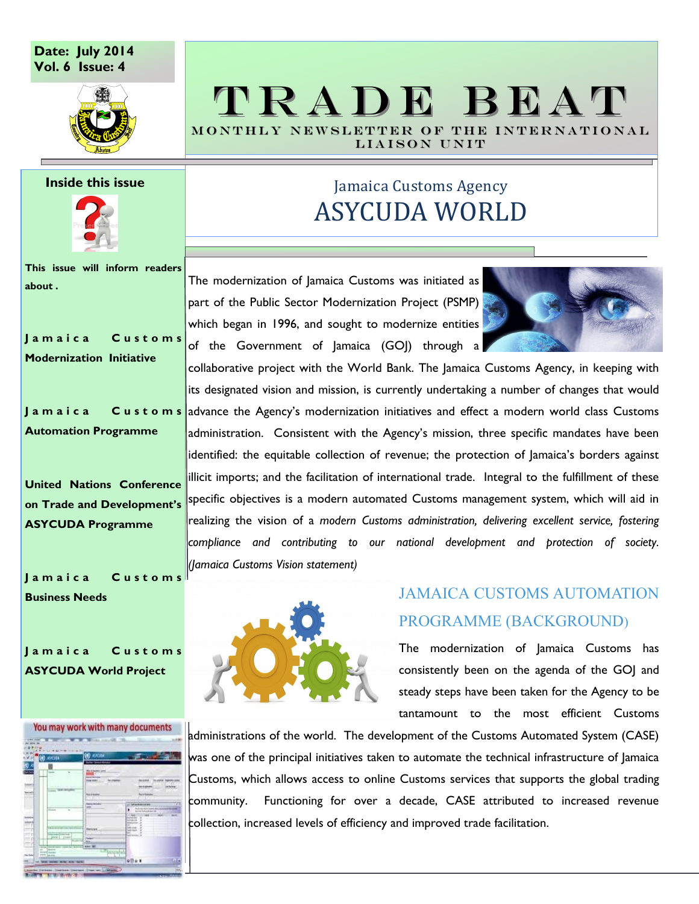#### **Date: July 2014 Vol. 6 Issue: 4**



# T R A D E B E A T MONTHLY NEWSLETTER OF THE INTERNATIONAL

LIAISON UNIT

#### **Inside this issue**



**This issue will inform readers about .**

**J a m a i c a C u s t o m s Modernization Initiative**

**J a m a i c a C u s t o m s Automation Programme**

**United Nations Conference on Trade and Development's ASYCUDA Programme**

**J a m a i c a C u s t o m s Business Needs**

**J a m a i c a C u s t o m s ASYCUDA World Project**



## Jamaica Customs Agency ASYCUDA WORLD

The modernization of Jamaica Customs was initiated as part of the Public Sector Modernization Project (PSMP) which began in 1996, and sought to modernize entities of the Government of Jamaica (GOJ) through a



collaborative project with the World Bank. The Jamaica Customs Agency, in keeping with its designated vision and mission, is currently undertaking a number of changes that would advance the Agency's modernization initiatives and effect a modern world class Customs administration. Consistent with the Agency's mission, three specific mandates have been identified: the equitable collection of revenue; the protection of Jamaica's borders against illicit imports; and the facilitation of international trade. Integral to the fulfillment of these specific objectives is a modern automated Customs management system, which will aid in realizing the vision of a *modern Customs administration, delivering excellent service, fostering compliance and contributing to our national development and protection of society. (Jamaica Customs Vision statement)*

## JAMAICA CUSTOMS AUTOMATION PROGRAMME (BACKGROUND)

The modernization of Jamaica Customs has consistently been on the agenda of the GOJ and steady steps have been taken for the Agency to be tantamount to the most efficient Customs

administrations of the world. The development of the Customs Automated System (CASE) was one of the principal initiatives taken to automate the technical infrastructure of Jamaica Customs, which allows access to online Customs services that supports the global trading community. Functioning for over a decade, CASE attributed to increased revenue collection, increased levels of efficiency and improved trade facilitation.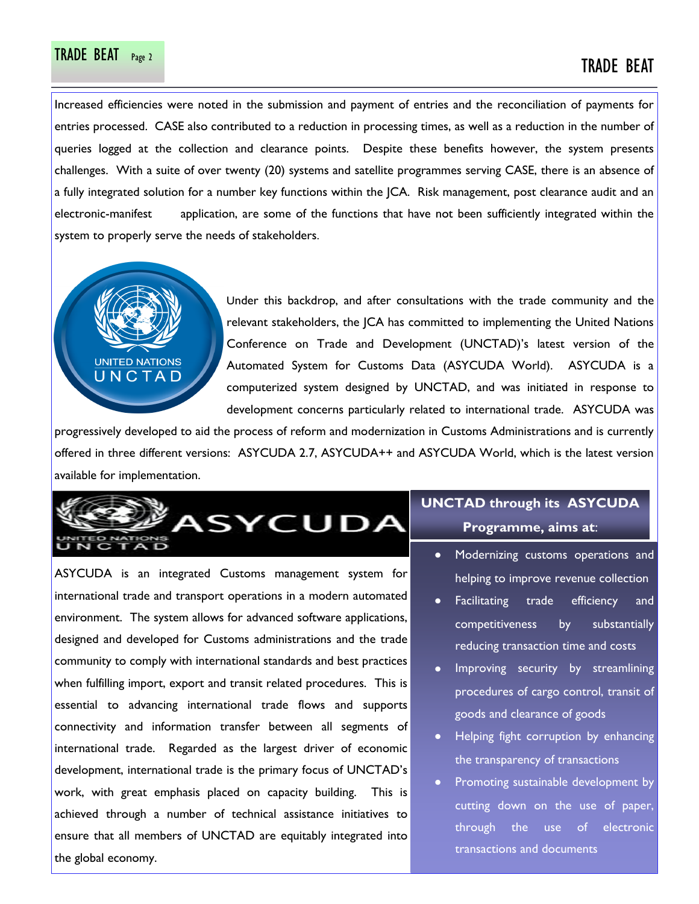# TRADE BEAT Page 2 TRADE BEAT

Increased efficiencies were noted in the submission and payment of entries and the reconciliation of payments for entries processed. CASE also contributed to a reduction in processing times, as well as a reduction in the number of queries logged at the collection and clearance points. Despite these benefits however, the system presents challenges. With a suite of over twenty (20) systems and satellite programmes serving CASE, there is an absence of a fully integrated solution for a number key functions within the JCA. Risk management, post clearance audit and an electronic-manifest application, are some of the functions that have not been sufficiently integrated within the system to properly serve the needs of stakeholders.



Under this backdrop, and after consultations with the trade community and the relevant stakeholders, the JCA has committed to implementing the United Nations Conference on Trade and Development (UNCTAD)'s latest version of the Automated System for Customs Data (ASYCUDA World). ASYCUDA is a computerized system designed by UNCTAD, and was initiated in response to development concerns particularly related to international trade. ASYCUDA was

progressively developed to aid the process of reform and modernization in Customs Administrations and is currently offered in three different versions: ASYCUDA 2.7, ASYCUDA++ and ASYCUDA World, which is the latest version available for implementation.



ASYCUDA is an integrated Customs management system for international trade and transport operations in a modern automated environment. The system allows for advanced software applications, designed and developed for Customs administrations and the trade community to comply with international standards and best practices when fulfilling import, export and transit related procedures. This is essential to advancing international trade flows and supports connectivity and information transfer between all segments of international trade. Regarded as the largest driver of economic development, international trade is the primary focus of UNCTAD's work, with great emphasis placed on capacity building. This is achieved through a number of technical assistance initiatives to ensure that all members of UNCTAD are equitably integrated into the global economy.

# **UNCTAD through its ASYCUDA**

**Programme, aims at**:

- Modernizing customs operations and helping to improve revenue collection
- Facilitating trade efficiency and competitiveness by substantially reducing transaction time and costs
- Improving security by streamlining procedures of cargo control, transit of goods and clearance of goods
- Helping fight corruption by enhancing the transparency of transactions
- Promoting sustainable development by cutting down on the use of paper, through the use of electronic transactions and documents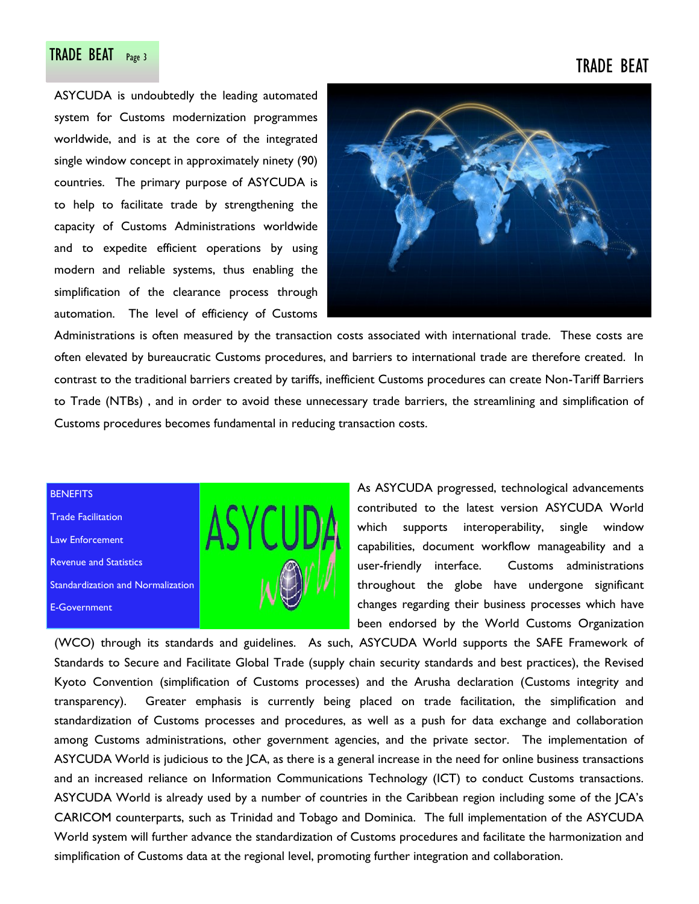# TRADE BEAT Page 3 TRADE BEAT

ASYCUDA is undoubtedly the leading automated system for Customs modernization programmes worldwide, and is at the core of the integrated single window concept in approximately ninety (90) countries. The primary purpose of ASYCUDA is to help to facilitate trade by strengthening the capacity of Customs Administrations worldwide and to expedite efficient operations by using modern and reliable systems, thus enabling the simplification of the clearance process through automation. The level of efficiency of Customs



Administrations is often measured by the transaction costs associated with international trade. These costs are often elevated by bureaucratic Customs procedures, and barriers to international trade are therefore created. In contrast to the traditional barriers created by tariffs, inefficient Customs procedures can create Non-Tariff Barriers to Trade (NTBs) , and in order to avoid these unnecessary trade barriers, the streamlining and simplification of Customs procedures becomes fundamental in reducing transaction costs.

#### **BENEFITS**

Trade Facilitation Law Enforcement Revenue and Statistics Standardization and Normalization E-Government



As ASYCUDA progressed, technological advancements contributed to the latest version ASYCUDA World which supports interoperability, single window capabilities, document workflow manageability and a user-friendly interface. Customs administrations throughout the globe have undergone significant changes regarding their business processes which have been endorsed by the World Customs Organization

(WCO) through its standards and guidelines. As such, ASYCUDA World supports the SAFE Framework of Standards to Secure and Facilitate Global Trade (supply chain security standards and best practices), the Revised Kyoto Convention (simplification of Customs processes) and the Arusha declaration (Customs integrity and transparency). Greater emphasis is currently being placed on trade facilitation, the simplification and standardization of Customs processes and procedures, as well as a push for data exchange and collaboration among Customs administrations, other government agencies, and the private sector. The implementation of ASYCUDA World is judicious to the JCA, as there is a general increase in the need for online business transactions and an increased reliance on Information Communications Technology (ICT) to conduct Customs transactions. ASYCUDA World is already used by a number of countries in the Caribbean region including some of the JCA's CARICOM counterparts, such as Trinidad and Tobago and Dominica. The full implementation of the ASYCUDA World system will further advance the standardization of Customs procedures and facilitate the harmonization and simplification of Customs data at the regional level, promoting further integration and collaboration.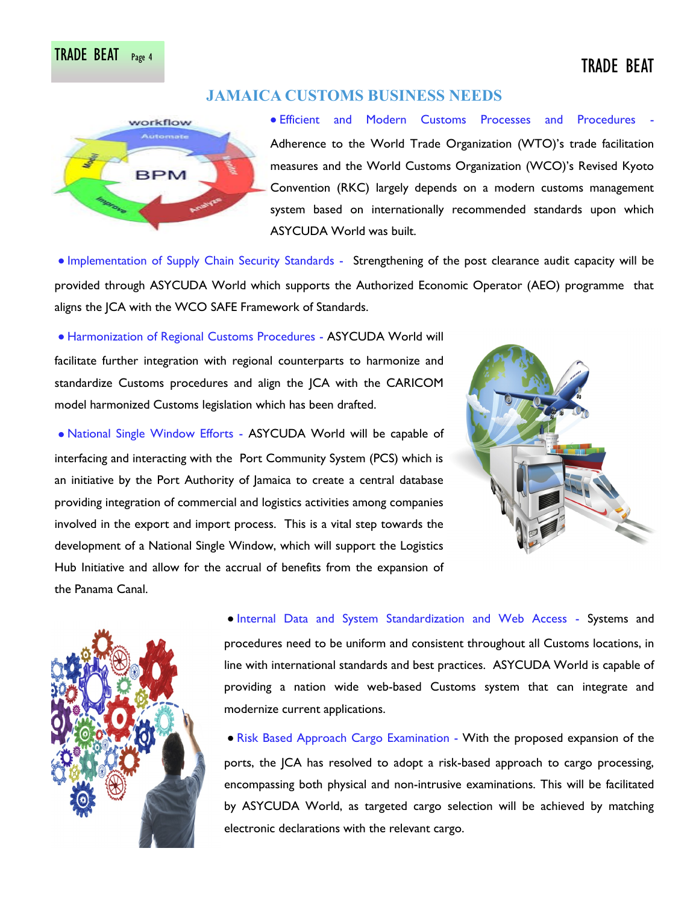### **JAMAICA CUSTOMS BUSINESS NEEDS**



Efficient and Modern Customs Processes and Procedures - Adherence to the World Trade Organization (WTO)'s trade facilitation measures and the World Customs Organization (WCO)'s Revised Kyoto Convention (RKC) largely depends on a modern customs management system based on internationally recommended standards upon which ASYCUDA World was built.

Implementation of Supply Chain Security Standards - Strengthening of the post clearance audit capacity will be provided through ASYCUDA World which supports the Authorized Economic Operator (AEO) programme that aligns the JCA with the WCO SAFE Framework of Standards.

Harmonization of Regional Customs Procedures - ASYCUDA World will facilitate further integration with regional counterparts to harmonize and standardize Customs procedures and align the JCA with the CARICOM model harmonized Customs legislation which has been drafted.

National Single Window Efforts - ASYCUDA World will be capable of interfacing and interacting with the Port Community System (PCS) which is an initiative by the Port Authority of Jamaica to create a central database providing integration of commercial and logistics activities among companies involved in the export and import process. This is a vital step towards the development of a National Single Window, which will support the Logistics Hub Initiative and allow for the accrual of benefits from the expansion of the Panama Canal.





Internal Data and System Standardization and Web Access - Systems and procedures need to be uniform and consistent throughout all Customs locations, in line with international standards and best practices. ASYCUDA World is capable of providing a nation wide web-based Customs system that can integrate and modernize current applications.

**• Risk Based Approach Cargo Examination - With the proposed expansion of the** ports, the JCA has resolved to adopt a risk-based approach to cargo processing, encompassing both physical and non-intrusive examinations. This will be facilitated by ASYCUDA World, as targeted cargo selection will be achieved by matching electronic declarations with the relevant cargo.